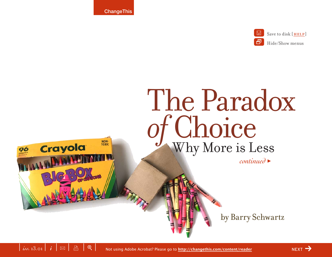**ChangeThis** 

NON-<br>TOXIC

Crayola



Save to disk [HELP] Hide/Show menus

# The Paradox *of* Choice Why More is Less

*continued* >

by Barry Schwartz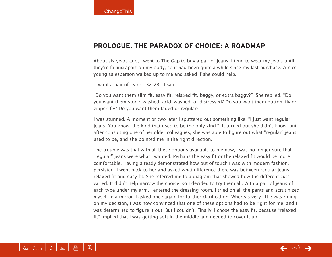### **PROLOGUE. THE PARADOX OF CHOICE: A ROADMAP**

About six years ago, I went to The Gap to buy a pair of jeans. I tend to wear my jeans until they're falling apart on my body, so it had been quite a while since my last purchase. A nice young salesperson walked up to me and asked if she could help.

"I want a pair of jeans—32-28," I said.

"Do you want them slim fit, easy fit, relaxed fit, baggy, or extra baggy?" She replied. "Do you want them stone-washed, acid-washed, or distressed? Do you want them button-fly or zipper-fly? Do you want them faded or regular?"

I was stunned. A moment or two later I sputtered out something like, "I just want regular jeans. You know, the kind that used to be the only kind." It turned out she didn't know, but after consulting one of her older colleagues, she was able to figure out what "regular" jeans used to be, and she pointed me in the right direction.

The trouble was that with all these options available to me now, I was no longer sure that "regular" jeans were what I wanted. Perhaps the easy fit or the relaxed fit would be more comfortable. Having already demonstrated how out of touch I was with modern fashion, I persisted. I went back to her and asked what difference there was between regular jeans, relaxed fit and easy fit. She referred me to a diagram that showed how the different cuts varied. It didn't help narrow the choice, so I decided to try them all. With a pair of jeans of each type under my arm, I entered the dressing room. I tried on all the pants and scrutinized myself in a mirror. I asked once again for further clarification. Whereas very little was riding on my decision, I was now convinced that one of these options had to be right for me, and I was determined to figure it out. But I couldn't. Finally, I chose the easy fit, because "relaxed fit" implied that I was getting soft in the middle and needed to cover it up.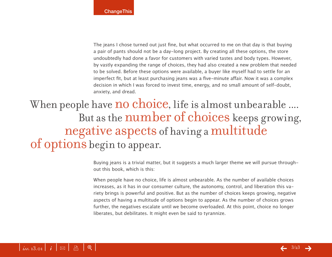The jeans I chose turned out just fine, but what occurred to me on that day is that buying a pair of pants should not be a day-long project. By creating all these options, the store undoubtedly had done a favor for customers with varied tastes and body types. However, by vastly expanding the range of choices, they had also created a new problem that needed to be solved. Before these options were available, a buyer like myself had to settle for an imperfect fit, but at least purchasing jeans was a five-minute affair. Now it was a complex decision in which I was forced to invest time, energy, and no small amount of self-doubt, anxiety, and dread.

When people have **no choice**, life is almost unbearable .... But as the number of choices keeps growing, negative aspects of having a multitude of options begin to appear.

> Buying jeans is a trivial matter, but it suggests a much larger theme we will pursue throughout this book, which is this:

When people have no choice, life is almost unbearable. As the number of available choices increases, as it has in our consumer culture, the autonomy, control, and liberation this variety brings is powerful and positive. But as the number of choices keeps growing, negative aspects of having a multitude of options begin to appear. As the number of choices grows further, the negatives escalate until we become overloaded. At this point, choice no longer liberates, but debilitates. It might even be said to tyrannize.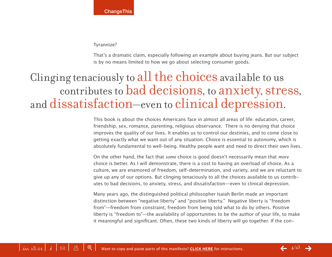Tyrannize?

That's a dramatic claim, especially following an example about buying jeans. But our subject is by no means limited to how we go about selecting consumer goods.

# Clinging tenaciously to all the choices available to us contributes to bad decisions, to anxiety, stress, and dissatisfaction—even to clinical depression.

This book is about the choices Americans face in almost all areas of life: education, career, friendship, sex, romance, parenting, religious observance. There is no denying that choice improves the quality of our lives. It enables us to control our destinies, and to come close to getting exactly what we want out of any situation. Choice is essential to autonomy, which is absolutely fundamental to well-being. Healthy people want and need to direct their own lives.

On the other hand, the fact that some choice is good doesn't necessarily mean that more choice is better. As I will demonstrate, there is a cost to having an overload of choice. As a culture, we are enamored of freedom, self-determination, and variety, and we are reluctant to give up any of our options. But clinging tenaciously to all the choices available to us contributes to bad decisions, to anxiety, stress, and dissatisfaction—even to clinical depression.

Many years ago, the distinguished political philosopher Isaiah Berlin made an important distinction between "negative liberty" and "positive liberty." Negative liberty is "freedom from"—freedom from constraint, freedom from being told what to do by others. Positive liberty is "freedom to"—the availability of opportunities to be the author of your life, to make it meaningful and significant. Often, these two kinds of liberty will go together. If the con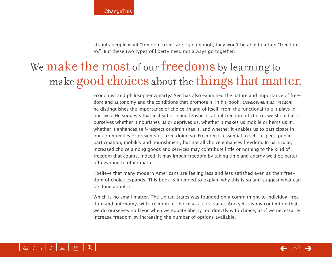straints people want "freedom from" are rigid enough, they won't be able to attain "freedom to." But these two types of liberty need not always go together.

# We make the most of our freedoms by learning to make good choices about the things that matter.

Economist and philosopher Amartya Sen has also examined the nature and importance of freedom and autonomy and the conditions that promote it. In his book, Development as Freedom, he distinguishes the importance of choice, in and of itself, from the functional role it plays in our lives. He suggests that instead of being fetishistic about freedom of choice, we should ask ourselves whether it nourishes us or deprives us, whether it makes us mobile or hems us in, whether it enhances self-respect or diminishes it, and whether it enables us to participate in our communities or prevents us from doing so. Freedom is essential to self-respect, public participation, mobility and nourishment, but not all choice enhances freedom. In particular, increased choice among goods and services may contribute little or nothing to the kind of freedom that counts. Indeed, it may impair freedom by taking time and energy we'd be better off devoting to other matters.

I believe that many modern Americans are feeling less and less satisfied even as their freedom of choice expands. This book is intended to explain why this is so and suggest what can be done about it.

Which is no small matter. The United States was founded on a commitment to individual freedom and autonomy, with freedom of choice as a core value. And yet it is my contention that we do ourselves no favor when we equate liberty too directly with choice, as if we necessarily increase freedom by increasing the number of options available.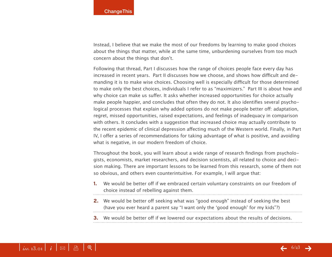Instead, I believe that we make the most of our freedoms by learning to make good choices about the things that matter, while at the same time, unburdening ourselves from too much concern about the things that don't.

Following that thread, Part I discusses how the range of choices people face every day has increased in recent years. Part II discusses how we choose, and shows how difficult and demanding it is to make wise choices. Choosing well is especially difficult for those determined to make only the best choices, individuals I refer to as "maximizers." Part III is about how and why choice can make us suffer. It asks whether increased opportunities for choice actually make people happier, and concludes that often they do not. It also identifies several psychological processes that explain why added options do not make people better off: adaptation, regret, missed opportunities, raised expectations, and feelings of inadequacy in comparison with others. It concludes with a suggestion that increased choice may actually contribute to the recent epidemic of clinical depression affecting much of the Western world. Finally, in Part IV, I offer a series of recommendations for taking advantage of what is positive, and avoiding what is negative, in our modern freedom of choice.

Throughout the book, you will learn about a wide range of research findings from psychologists, economists, market researchers, and decision scientists, all related to choice and decision making. There are important lessons to be learned from this research, some of them not so obvious, and others even counterintuitive. For example, I will argue that:

- **1.** We would be better off if we embraced certain voluntary constraints on our freedom of choice instead of rebelling against them.
- **2.** We would be better off seeking what was "good enough" instead of seeking the best (have you ever heard a parent say "I want only the ʻgood enough' for my kids"?)
- **3.** We would be better off if we lowered our expectations about the results of decisions.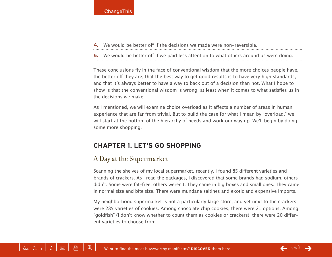

**4.** We would be better off if the decisions we made were non-reversible.

**5.** We would be better off if we paid less attention to what others around us were doing.

These conclusions fly in the face of conventional wisdom that the more choices people have, the better off they are, that the best way to get good results is to have very high standards, and that it's always better to have a way to back out of a decision than not. What I hope to show is that the conventional wisdom is wrong, at least when it comes to what satisfies us in the decisions we make.

As I mentioned, we will examine choice overload as it affects a number of areas in human experience that are far from trivial. But to build the case for what I mean by "overload," we will start at the bottom of the hierarchy of needs and work our way up. We'll begin by doing some more shopping.

### **CHAPTER 1. LET'S GO SHOPPING**

### A Day at the Supermarket

Scanning the shelves of my local supermarket, recently, I found 85 different varieties and brands of crackers. As I read the packages, I discovered that some brands had sodium, others didn't. Some were fat-free, others weren't. They came in big boxes and small ones. They came in normal size and bite size. There were mundane saltines and exotic and expensive imports.

My neighborhood supermarket is not a particularly large store, and yet next to the crackers were 285 varieties of cookies. Among chocolate chip cookies, there were 21 options. Among "goldfish" (I don't know whether to count them as cookies or crackers), there were 20 different varieties to choose from.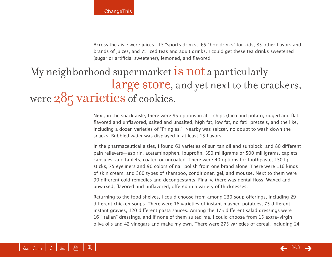Across the aisle were juices—13 "sports drinks," 65 "box drinks" for kids, 85 other flavors and brands of juices, and 75 iced teas and adult drinks. I could get these tea drinks sweetened (sugar or artificial sweetener), lemoned, and flavored.

## My neighborhood supermarket is not a particularly large store, and yet next to the crackers, were 285 varieties of cookies.

Next, in the snack aisle, there were 95 options in all—chips (taco and potato, ridged and flat, flavored and unflavored, salted and unsalted, high fat, low fat, no fat), pretzels, and the like, including a dozen varieties of "Pringles." Nearby was seltzer, no doubt to wash down the snacks. Bubbled water was displayed in at least 15 flavors.

In the pharmaceutical aisles, I found 61 varieties of sun tan oil and sunblock, and 80 different pain relievers—aspirin, acetaminophen, ibuprofin, 350 milligrams or 500 milligrams, caplets, capsules, and tablets, coated or uncoated. There were 40 options for toothpaste, 150 lipsticks, 75 eyeliners and 90 colors of nail polish from one brand alone. There were 116 kinds of skin cream, and 360 types of shampoo, conditioner, gel, and mousse. Next to them were 90 different cold remedies and decongestants. Finally, there was dental floss. Waxed and unwaxed, flavored and unflavored, offered in a variety of thicknesses.

Returning to the food shelves, I could choose from among 230 soup offerings, including 29 different chicken soups. There were 16 varieties of instant mashed potatoes, 75 different instant gravies, 120 different pasta sauces. Among the 175 different salad dressings were 16 "Italian" dressings, and if none of them suited me, I could choose from 15 extra-virgin olive oils and 42 vinegars and make my own. There were 275 varieties of cereal, including 24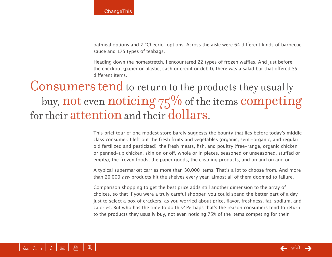oatmeal options and 7 "Cheerio" options. Across the aisle were 64 different kinds of barbecue sauce and 175 types of teabags.

Heading down the homestretch, I encountered 22 types of frozen waffles. And just before the checkout (paper or plastic; cash or credit or debit), there was a salad bar that offered 55 different items.

# Consumers tend to return to the products they usually buy, not even noticing  $75\%$  of the items competing for their attention and their dollars.

This brief tour of one modest store barely suggests the bounty that lies before today's middle class consumer. I left out the fresh fruits and vegetables (organic, semi-organic, and regular old fertilized and pesticized), the fresh meats, fish, and poultry (free-range, organic chicken or penned-up chicken, skin on or off, whole or in pieces, seasoned or unseasoned, stuffed or empty), the frozen foods, the paper goods, the cleaning products, and on and on and on.

A typical supermarket carries more than 30,000 items. That's a lot to choose from. And more than 20,000 new products hit the shelves every year, almost all of them doomed to failure.

Comparison shopping to get the best price adds still another dimension to the array of choices, so that if you were a truly careful shopper, you could spend the better part of a day just to select a box of crackers, as you worried about price, flavor, freshness, fat, sodium, and calories. But who has the time to do this? Perhaps that's the reason consumers tend to return to the products they usually buy, not even noticing 75% of the items competing for their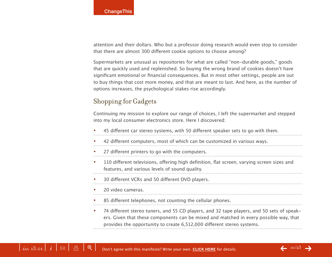attention and their dollars. Who but a professor doing research would even stop to consider that there are almost 300 different cookie options to choose among?

Supermarkets are unusual as repositories for what are called "non-durable goods," goods that are quickly used and replenished. So buying the wrong brand of cookies doesn't have significant emotional or financial consequences. But in most other settings, people are out to buy things that cost more money, and that are meant to last. And here, as the number of options increases, the psychological stakes rise accordingly.

### Shopping for Gadgets

Continuing my mission to explore our range of choices, I left the supermarket and stepped into my local consumer electronics store. Here I discovered:

- 45 different car stereo systems, with 50 different speaker sets to go with them.
- 42 different computers, most of which can be customized in various ways.
- 27 different printers to go with the computers.
- 110 different televisions, offering high definition, flat screen, varying screen sizes and features, and various levels of sound quality.
- 30 different VCRs and 50 different DVD players.
- 20 video cameras.
- 85 different telephones, not counting the cellular phones.
- 74 different stereo tuners, and 55 CD players, and 32 tape players, and 50 sets of speakers. Given that these components can be mixed and matched in every possible way, that provides the opportunity to create 6,512,000 different stereo systems.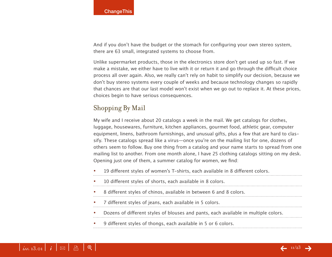And if you don't have the budget or the stomach for configuring your own stereo system, there are 63 small, integrated systems to choose from.

Unlike supermarket products, those in the electronics store don't get used up so fast. If we make a mistake, we either have to live with it or return it and go through the difficult choice process all over again. Also, we really can't rely on habit to simplify our decision, because we don't buy stereo systems every couple of weeks and because technology changes so rapidly that chances are that our last model won't exist when we go out to replace it. At these prices, choices begin to have serious consequences.

### Shopping By Mail

My wife and I receive about 20 catalogs a week in the mail. We get catalogs for clothes, luggage, housewares, furniture, kitchen appliances, gourmet food, athletic gear, computer equipment, linens, bathroom furnishings, and unusual gifts, plus a few that are hard to classify. These catalogs spread like a virus—once you're on the mailing list for one, dozens of others seem to follow. Buy one thing from a catalog and your name starts to spread from one mailing list to another. From one month alone, I have 25 clothing catalogs sitting on my desk. Opening just one of them, a summer catalog for women, we find:

- 19 different styles of women's T-shirts, each available in 8 different colors.
- 10 different styles of shorts, each available in 8 colors.
- 8 different styles of chinos, available in between 6 and 8 colors.
- 7 different styles of jeans, each available in 5 colors.
- Dozens of different styles of blouses and pants, each available in multiple colors.
- 9 different styles of thongs, each available in 5 or 6 colors.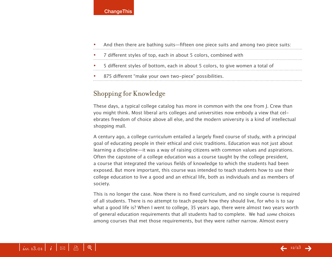- And then there are bathing suits—fifteen one piece suits and among two piece suits:
- 7 different styles of top, each in about 5 colors, combined with
- 5 different styles of bottom, each in about 5 colors, to give women a total of
- 875 different "make your own two-piece" possibilities.

### Shopping for Knowledge

These days, a typical college catalog has more in common with the one from J. Crew than you might think. Most liberal arts colleges and universities now embody a view that celebrates freedom of choice above all else, and the modern university is a kind of intellectual shopping mall.

A century ago, a college curriculum entailed a largely fixed course of study, with a principal goal of educating people in their ethical and civic traditions. Education was not just about learning a discipline—it was a way of raising citizens with common values and aspirations. Often the capstone of a college education was a course taught by the college president, a course that integrated the various fields of knowledge to which the students had been exposed. But more important, this course was intended to teach students how to use their college education to live a good and an ethical life, both as individuals and as members of society.

This is no longer the case. Now there is no fixed curriculum, and no single course is required of all students. There is no attempt to teach people how they should live, for who is to say what a good life is? When I went to college, 35 years ago, there were almost two years worth of general education requirements that all students had to complete. We had some choices among courses that met those requirements, but they were rather narrow. Almost every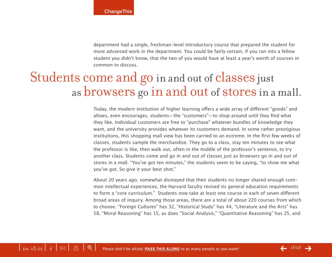department had a single, freshman-level introductory course that prepared the student for more advanced work in the department. You could be fairly certain, if you ran into a fellow student you didn't know, that the two of you would have at least a year's worth of courses in common to discuss.

# Students come and go in and out of classes just as browsers go in and out of stores in a mall.

Today, the modern institution of higher learning offers a wide array of different "goods" and allows, even encourages, students—the "customers"—to shop around until they find what they like. Individual customers are free to "purchase" whatever bundles of knowledge they want, and the university provides whatever its customers demand. In some rather prestigious institutions, this shopping mall view has been carried to an extreme. In the first few weeks of classes, students sample the merchandise. They go to a class, stay ten minutes to see what the professor is like, then walk out, often in the middle of the professor's sentence, to try another class. Students come and go in and out of classes just as browsers go in and out of stores in a mall. "You've got ten minutes," the students seem to be saying, "to show me what you've got. So give it your best shot."

About 20 years ago, somewhat dismayed that their students no longer shared enough common intellectual experiences, the Harvard faculty revised its general education requirements to form a "core curriculum." Students now take at least one course in each of seven different broad areas of inquiry. Among those areas, there are a total of about 220 courses from which to choose. "Foreign Cultures" has 32, "Historical Study" has 44, "Literature and the Arts" has 58, "Moral Reasoning" has 15, as does "Social Analysis," "Quantitative Reasoning" has 25, and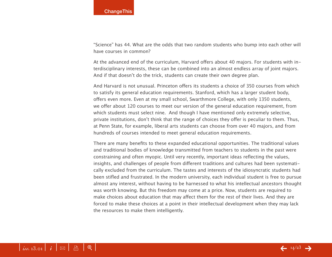"Science" has 44. What are the odds that two random students who bump into each other will have courses in common?

At the advanced end of the curriculum, Harvard offers about 40 majors. For students with interdisciplinary interests, these can be combined into an almost endless array of joint majors. And if that doesn't do the trick, students can create their own degree plan.

And Harvard is not unusual. Princeton offers its students a choice of 350 courses from which to satisfy its general education requirements. Stanford, which has a larger student body, offers even more. Even at my small school, Swarthmore College, with only 1350 students, we offer about 120 courses to meet our version of the general education requirement, from which students must select nine. And though I have mentioned only extremely selective, private institutions, don't think that the range of choices they offer is peculiar to them. Thus, at Penn State, for example, liberal arts students can choose from over 40 majors, and from hundreds of courses intended to meet general education requirements.

There are many benefits to these expanded educational opportunities. The traditional values and traditional bodies of knowledge transmitted from teachers to students in the past were constraining and often myopic. Until very recently, important ideas reflecting the values, insights, and challenges of people from different traditions and cultures had been systematically excluded from the curriculum. The tastes and interests of the idiosyncratic students had been stifled and frustrated. In the modern university, each individual student is free to pursue almost any interest, without having to be harnessed to what his intellectual ancestors thought was worth knowing. But this freedom may come at a price. Now, students are required to make choices about education that may affect them for the rest of their lives. And they are forced to make these choices at a point in their intellectual development when they may lack the resources to make them intelligently.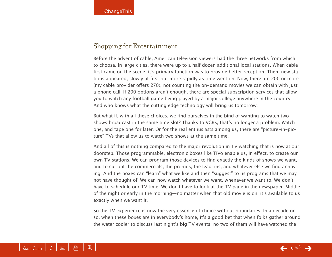### Shopping for Entertainment

Before the advent of cable, American television viewers had the three networks from which to choose. In large cities, there were up to a half dozen additional local stations. When cable first came on the scene, it's primary function was to provide better reception. Then, new stations appeared, slowly at first but more rapidly as time went on. Now, there are 200 or more (my cable provider offers 270), not counting the on-demand movies we can obtain with just a phone call. If 200 options aren't enough, there are special subscription services that allow you to watch any football game being played by a major college anywhere in the country. And who knows what the cutting edge technology will bring us tomorrow.

But what if, with all these choices, we find ourselves in the bind of wanting to watch two shows broadcast in the same time slot? Thanks to VCRs, that's no longer a problem. Watch one, and tape one for later. Or for the real enthusiasts among us, there are "picture-in-picture" TVs that allow us to watch two shows at the same time.

And all of this is nothing compared to the major revolution in TV watching that is now at our doorstep. Those programmable, electronic boxes like TiVo enable us, in effect, to create our own TV stations. We can program those devices to find exactly the kinds of shows we want, and to cut out the commercials, the promos, the lead-ins, and whatever else we find annoying. And the boxes can "learn" what we like and then "suggest" to us programs that we may not have thought of. We can now watch whatever we want, whenever we want to. We don't have to schedule our TV time. We don't have to look at the TV page in the newspaper. Middle of the night or early in the morning—no matter when that old movie is on, it's available to us exactly when we want it.

So the TV experience is now the very essence of choice without boundaries. In a decade or so, when these boxes are in everybody's home, it's a good bet that when folks gather around the water cooler to discuss last night's big TV events, no two of them will have watched the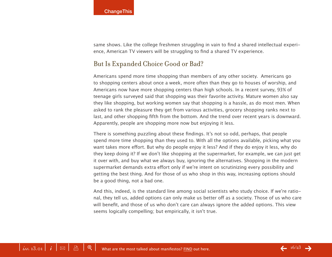same shows. Like the college freshmen struggling in vain to find a shared intellectual experience, American TV viewers will be struggling to find a shared TV experience.

### But Is Expanded Choice Good or Bad?

Americans spend more time shopping than members of any other society. Americans go to shopping centers about once a week, more often than they go to houses of worship, and Americans now have more shopping centers than high schools. In a recent survey, 93% of teenage girls surveyed said that shopping was their favorite activity. Mature women also say they like shopping, but working women say that shopping is a hassle, as do most men. When asked to rank the pleasure they get from various activities, grocery shopping ranks next to last, and other shopping fifth from the bottom. And the trend over recent years is downward. Apparently, people are shopping more now but enjoying it less.

There is something puzzling about these findings. It's not so odd, perhaps, that people spend more time shopping than they used to. With all the options available, picking what you want takes more effort. But why do people enjoy it less? And if they do enjoy it less, why do they keep doing it? If we don't like shopping at the supermarket, for example, we can just get it over with, and buy what we always buy, ignoring the alternatives. Shopping in the modern supermarket demands extra effort only if we're intent on scrutinizing every possibility and getting the best thing. And for those of us who shop in this way, increasing options should be a good thing, not a bad one.

And this, indeed, is the standard line among social scientists who study choice. If we're rational, they tell us, added options can only make us better off as a society. Those of us who care will benefit, and those of us who don't care can always ignore the added options. This view seems logically compelling; but empirically, it isn't true.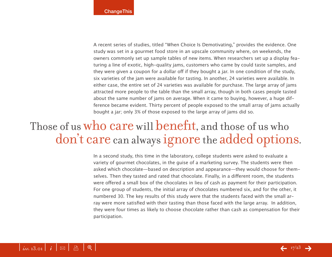A recent series of studies, titled "When Choice Is Demotivating," provides the evidence. One study was set in a gourmet food store in an upscale community where, on weekends, the owners commonly set up sample tables of new items. When researchers set up a display featuring a line of exotic, high-quality jams, customers who came by could taste samples, and they were given a coupon for a dollar off if they bought a jar. In one condition of the study, six varieties of the jam were available for tasting. In another, 24 varieties were available. In either case, the entire set of 24 varieties was available for purchase. The large array of jams attracted more people to the table than the small array, though in both cases people tasted about the same number of jams on average. When it came to buying, however, a huge difference became evident. Thirty percent of people exposed to the small array of jams actually bought a jar; only 3% of those exposed to the large array of jams did so.

# Those of us who care will benefit, and those of us who don't care can always ignore the added options.

In a second study, this time in the laboratory, college students were asked to evaluate a variety of gourmet chocolates, in the guise of a marketing survey. The students were then asked which chocolate—based on description and appearance—they would choose for themselves. Then they tasted and rated that chocolate. Finally, in a different room, the students were offered a small box of the chocolates in lieu of cash as payment for their participation. For one group of students, the initial array of chocolates numbered six, and for the other, it numbered 30. The key results of this study were that the students faced with the small array were more satisfied with their tasting than those faced with the large array. In addition, they were four times as likely to choose chocolate rather than cash as compensation for their participation.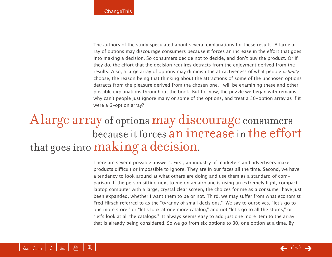The authors of the study speculated about several explanations for these results. A large array of options may discourage consumers because it forces an increase in the effort that goes into making a decision. So consumers decide not to decide, and don't buy the product. Or if they do, the effort that the decision requires detracts from the enjoyment derived from the results. Also, a large array of options may diminish the attractiveness of what people *actually* choose, the reason being that thinking about the attractions of some of the unchosen options detracts from the pleasure derived from the chosen one. I will be examining these and other possible explanations throughout the book. But for now, the puzzle we began with remains: why can't people just ignore many or some of the options, and treat a 30-option array as if it were a 6-option array?

# Alarge array of options may discourage consumers because it forces an increase in the effort that goes into making a decision.

There are several possible answers. First, an industry of marketers and advertisers make products difficult or impossible to ignore. They are in our faces all the time. Second, we have a tendency to look around at what others are doing and use them as a standard of comparison. If the person sitting next to me on an airplane is using an extremely light, compact laptop computer with a large, crystal clear screen, the choices for me as a consumer have just been expanded, whether I want them to be or not. Third, we may suffer from what economist Fred Hirsch referred to as the "tyranny of small decisions." We say to ourselves, "let's go to one more store," or "let's look at one more catalog," and not "let's go to all the stores," or "let's look at all the catalogs." It always seems easy to add just one more item to the array that is already being considered. So we go from six options to 30, one option at a time. By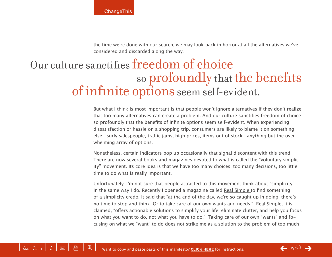the time we're done with our search, we may look back in horror at all the alternatives we've considered and discarded along the way.

# Our culture sanctifies freedom of choice so profoundly that the benefits of infinite options seem self-evident.

But what I think is most important is that people won't ignore alternatives if they don't realize that too many alternatives can create a problem. And our culture sanctifies freedom of choice so profoundly that the benefits of infinite options seem self-evident. When experiencing dissatisfaction or hassle on a shopping trip, consumers are likely to blame it on something else—surly salespeople, traffic jams, high prices, items out of stock—anything but the overwhelming array of options.

Nonetheless, certain indicators pop up occasionally that signal discontent with this trend. There are now several books and magazines devoted to what is called the "voluntary simplicity" movement. Its core idea is that we have too many choices, too many decisions, too little time to do what is really important.

Unfortunately, I'm not sure that people attracted to this movement think about "simplicity" in the same way I do. Recently I opened a magazine called Real Simple to find something of a simplicity credo. It said that "at the end of the day, we're so caught up in doing, there's no time to stop and think. Or to take care of our own wants and needs." Real Simple, it is claimed, "offers actionable solutions to simplify your life, eliminate clutter, and help you focus on what you want to do, not what you have to do." Taking care of our own "wants" and focusing on what we "want" to do does not strike me as a solution to the problem of too much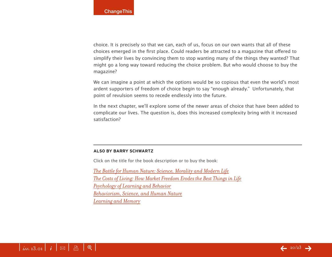choice. It is precisely so that we can, each of us, focus on our own wants that all of these choices emerged in the first place. Could readers be attracted to a magazine that offered to simplify their lives by convincing them to stop wanting many of the things they wanted? That might go a long way toward reducing the choice problem. But who would choose to buy the magazine?

We can imagine a point at which the options would be so copious that even the world's most ardent supporters of freedom of choice begin to say "enough already." Unfortunately, that point of revulsion seems to recede endlessly into the future.

In the next chapter, we'll explore some of the newer areas of choice that have been added to complicate our lives. The question is, does this increased complexity bring with it increased satisfaction?

#### **ALSO BY BARRY SCHWARTZ**

Click on the title for the book description or to buy the book:

*[The Battle for Human Nature: Science, Morality and Modern Life](http://www.amazon.com/exec/obidos/redirect?tag=changethis-20&path=tg/detail/-/0393304450) [The Costs of Living: How Market Freedom Erodes the Best Things in Life](http://www.amazon.com/exec/obidos/redirect?tag=changethis-20&path=tg/detail/-/0393036464) [Psychology of Learning and Behavior](http://www.amazon.com/exec/obidos/redirect?tag=changethis-20&path=tg/detail/-/0393975916) [Behaviorism, Science, and Human Nature](http://www.amazon.com/exec/obidos/redirect?tag=changethis-20&path=tg/detail/-/0393951979) [Learning and Memory](http://www.amazon.com/exec/obidos/redirect?tag=changethis-20&path=tg/detail/-/0534169147)*

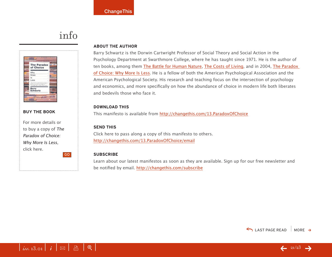### info

GO



#### **BUY THE BOOK**

[For more details or](http://www.amazon.com/exec/obidos/redirect?tag=changethis-20&path=tg/detail/-/0060005688)  to buy a copy of The Paradox of Choice: Why More Is Less, click here.

#### **ABOUT THE AUTHOR**

Barry Schwartz is the Dorwin Cartwright Professor of Social Theory and Social Action in the Psychology Department at Swarthmore College, where he has taught since 1971. He is the author of ten books, among them [The Battle for Human Nature](http://www.amazon.com/exec/obidos/redirect?tag=changethis-20&path=tg/detail/-/0393304450), [The Costs of Living](http://www.amazon.com/exec/obidos/redirect?tag=changethis-20&path=tg/detail/-/073885252X), and in 2004, [The Paradox](http://www.amazon.com/exec/obidos/redirect?tag=changethis-20&path=tg/detail/-/0060005688)  [of Choice: Why More Is Less](http://www.amazon.com/exec/obidos/redirect?tag=changethis-20&path=tg/detail/-/0060005688). He is a fellow of both the American Psychological Association and the American Psychological Society. His research and teaching focus on the intersection of psychology and economics, and more specifically on how the abundance of choice in modern life both liberates and bedevils those who face it.

#### **DOWNLOAD THIS**

This manifesto is available from <http://changethis.com/13.ParadoxOfChoice>

#### **SEND THIS**

Click here to pass along a copy of this manifesto to others. <http://changethis.com/13.ParadoxOfChoice/email>

#### **SUBSCRIBE**

Learn about our latest manifestos as soon as they are available. Sign up for our free newsletter and be notified by email.<http://changethis.com/subscribe>

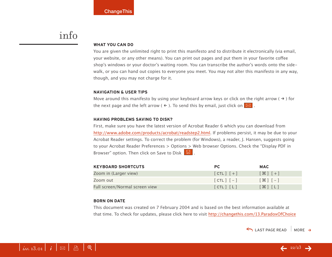### info

#### **WHAT YOU CAN DO**

You are given the unlimited right to print this manifesto and to distribute it electronically (via email, your website, or any other means). You can print out pages and put them in your favorite coffee shop's windows or your doctor's waiting room. You can transcribe the author's words onto the sidewalk, or you can hand out copies to everyone you meet. You may not alter this manifesto in any way, though, and you may not charge for it.

#### **NAVIGATION & USER TIPS**

Move around this manifesto by using your keyboard arrow keys or click on the right arrow ( $\rightarrow$ ) for the next page and the left arrow (  $\leftarrow$  ). To send this by email, just click on  $\boxed{\boxtimes}$  .

#### **HAVING PROBLEMS SAVING TO DISK?**

First, make sure you have the latest version of Acrobat Reader 6 which you can download from [http://www.adobe.com/products/acrobat/readstep2.html.](http://www.adobe.com/products/acrobat/readstep2.html) If problems persist, it may be due to your Acrobat Reader settings. To correct the problem (for Windows), a reader, J. Hansen, suggests going to your Acrobat Reader Preferences > Options > Web browser Options. Check the "Display PDF in Browser" option. Then click on Save to Disk  $\boxed{\boxtimes}$ .

| <b>KEYBOARD SHORTCUTS</b>      | PC.           | <b>MAC</b>                                                    |
|--------------------------------|---------------|---------------------------------------------------------------|
| Zoom in (Larger view)          | $[CIL]$ $[+]$ | $[$ $\frac{1}{2}$ $[$ $\frac{1}{2}$ $]$ $[$ $\frac{1}{2}$ $]$ |
| Zoom out                       | $[CHL]$ $[-]$ | $[ \; \mathcal{H} \; ] \; [- \; ]$                            |
| Full screen/Normal screen view | [CHL] [L]     | $[\mathcal{H}]$ $[L]$                                         |

#### **BORN ON DATE**

This document was created on 7 February 2004 and is based on the best information available at that time. To check for updates, please click here to visit <http://changethis.com/13.ParadoxOfChoice>